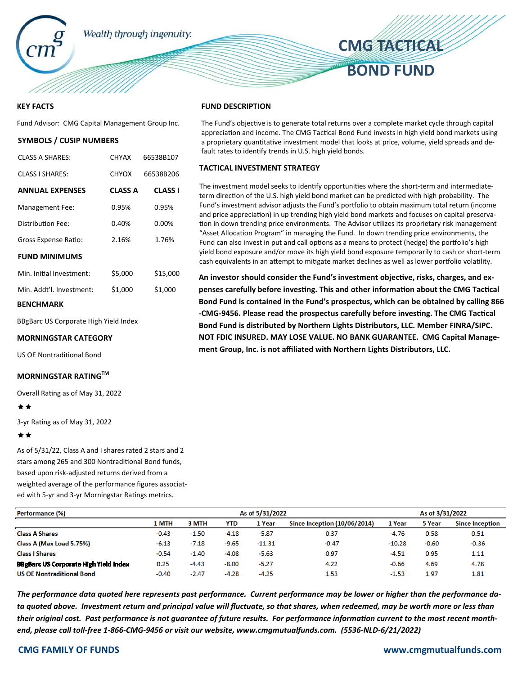

# **KEY FACTS**

Fund Advisor: CMG Capital Management Group Inc.

## **SYMBOLS / CUSIP NUMBERS**

| <b>CLASS A SHARES:</b>   | <b>CHYAX</b>   | 66538B107      |
|--------------------------|----------------|----------------|
| <b>CLASS I SHARES:</b>   | <b>CHYOX</b>   | 66538B206      |
| <b>ANNUAL EXPENSES</b>   | <b>CLASS A</b> | <b>CLASS I</b> |
| <b>Management Fee:</b>   | 0.95%          | 0.95%          |
| Distribution Fee:        | 0.40%          | 0.00%          |
| Gross Expense Ratio:     | 2.16%          | 1.76%          |
| <b>FUND MINIMUMS</b>     |                |                |
| Min. Initial Investment: | \$5,000        | \$15,000       |
| Min. Addt'l. Investment: | \$1,000        | \$1,000        |
| BENCHMARK                |                |                |

BBgBarc US Corporate High Yield Index

**MORNINGSTAR CATEGORY** 

US OE Nontraditional Bond

# **MORNINGSTAR RATINGTM**

Overall Rating as of May 31, 2022

## \*\*

3-yr Rating as of May 31, 2022

## \*\*

As of 5/31/22, Class A and I shares rated 2 stars and 2 stars among 265 and 300 Nontraditional Bond funds, based upon risk-adjusted returns derived from a weighted average of the performance figures associated with 5-yr and 3-yr Morningstar Ratings metrics.

### **FUND DESCRIPTION**

The Fund's objective is to generate total returns over a complete market cycle through capital appreciation and income. The CMG Tactical Bond Fund invests in high yield bond markets using a proprietary quantitative investment model that looks at price, volume, yield spreads and default rates to identify trends in U.S. high yield bonds.

## **TACTICAL INVESTMENT STRATEGY**

The investment model seeks to identify opportunities where the short-term and intermediateterm direction of the U.S. high yield bond market can be predicted with high probability. The Fund's investment advisor adjusts the Fund's portfolio to obtain maximum total return (income and price appreciation) in up trending high yield bond markets and focuses on capital preservation in down trending price environments. The Advisor utilizes its proprietary risk management "Asset Allocation Program" in managing the Fund. In down trending price environments, the Fund can also invest in put and call options as a means to protect (hedge) the portfolio's high yield bond exposure and/or move its high yield bond exposure temporarily to cash or short-term cash equivalents in an attempt to mitigate market declines as well as lower portfolio volatility.

An investor should consider the Fund's investment objective, risks, charges, and expenses carefully before investing. This and other information about the CMG Tactical **Bond Fund is contained in the Fund's prospectus, which can be obtained by calling 866** -CMG-9456. Please read the prospectus carefully before investing. The CMG Tactical **Bond Fund is distributed by Northern Lights Distributors, LLC. Member FINRA/SIPC. NOT FDIC INSURED. MAY LOSE VALUE. NO BANK GUARANTEE. CMG Capital Management Group, Inc. is not affiliated with Northern Lights Distributors, LLC.** 

| Performance (%)                              | As of 5/31/2022 |         |         |          |                              | As of 3/31/2022 |         |                        |
|----------------------------------------------|-----------------|---------|---------|----------|------------------------------|-----------------|---------|------------------------|
|                                              | 1 MTH           | 3 MTH   | YTD     | 1 Year   | Since Inception (10/06/2014) | 1 Year          | 5 Year  | <b>Since Inception</b> |
| <b>Class A Shares</b>                        | $-0.43$         | $-1.50$ | $-4.18$ | $-5.87$  | 0.37                         | $-4.76$         | 0.58    | 0.51                   |
| Class A (Max Load 5.75%)                     | $-6.13$         | $-7.18$ | $-9.65$ | $-11.31$ | $-0.47$                      | $-10.28$        | $-0.60$ | $-0.36$                |
| <b>Class I Shares</b>                        | $-0.54$         | $-1.40$ | $-4.08$ | $-5.63$  | 0.97                         | $-4.51$         | 0.95    | 1.11                   |
| <b>BBgBarc US Corporate High Yield Index</b> | 0.25            | $-4.43$ | $-8.00$ | $-5.27$  | 4.22                         | $-0.66$         | 4.69    | 4.78                   |
| <b>US OE Nontraditional Bond</b>             | $-0.40$         | $-2.47$ | $-4.28$ | $-4.25$  | 1.53                         | $-1.53$         | 1.97    | 1.81                   |

*The performance data quoted here represents past performance. Current performance may be lower or higher than the performance data quoted above. Investment return and principal value will fluctuate, so that shares, when redeemed, may be worth more or less than*  their original cost. Past performance is not guarantee of future results. For performance information current to the most recent month*end, please call toll-free 1-866-CMG-9456 or visit our website, www.cmgmutualfunds.com. (5536-NLD-6/21/2022)*